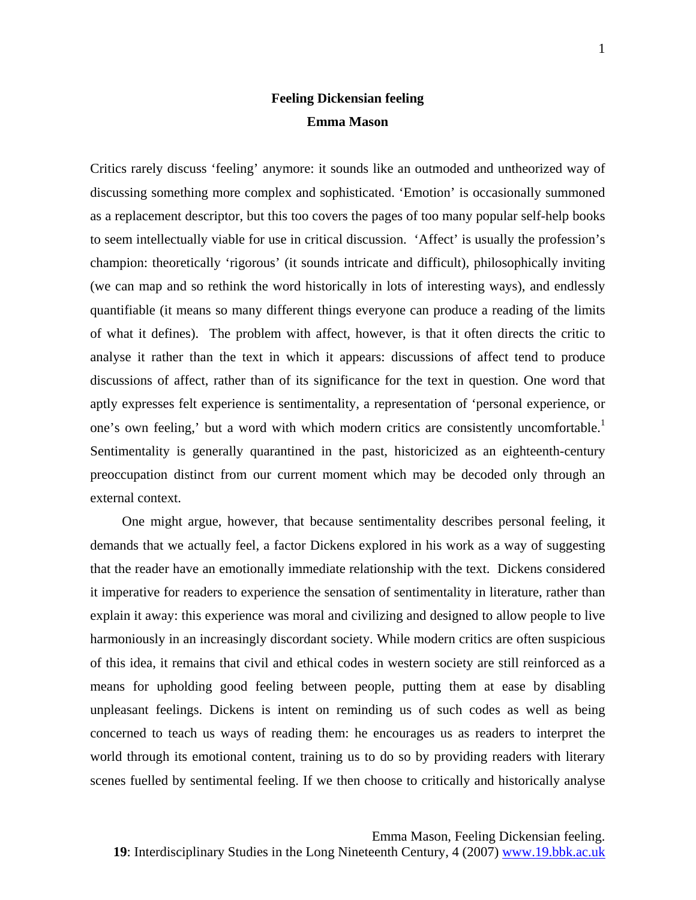## **Feeling Dickensian feeling Emma Mason**

Critics rarely discuss 'feeling' anymore: it sounds like an outmoded and untheorized way of discussing something more complex and sophisticated. 'Emotion' is occasionally summoned as a replacement descriptor, but this too covers the pages of too many popular self-help books to seem intellectually viable for use in critical discussion. 'Affect' is usually the profession's champion: theoretically 'rigorous' (it sounds intricate and difficult), philosophically inviting (we can map and so rethink the word historically in lots of interesting ways), and endlessly quantifiable (it means so many different things everyone can produce a reading of the limits of what it defines). The problem with affect, however, is that it often directs the critic to analyse it rather than the text in which it appears: discussions of affect tend to produce discussions of affect, rather than of its significance for the text in question. One word that aptly expresses felt experience is sentimentality, a representation of 'personal experience, or one's own feeling,' but a word with which modern critics are consistently uncomfortable.<sup>[1](#page-18-0)</sup> Sentimentality is generally quarantined in the past, historicized as an eighteenth-century preoccupation distinct from our current moment which may be decoded only through an external context.

One might argue, however, that because sentimentality describes personal feeling, it demands that we actually feel, a factor Dickens explored in his work as a way of suggesting that the reader have an emotionally immediate relationship with the text. Dickens considered it imperative for readers to experience the sensation of sentimentality in literature, rather than explain it away: this experience was moral and civilizing and designed to allow people to live harmoniously in an increasingly discordant society. While modern critics are often suspicious of this idea, it remains that civil and ethical codes in western society are still reinforced as a means for upholding good feeling between people, putting them at ease by disabling unpleasant feelings. Dickens is intent on reminding us of such codes as well as being concerned to teach us ways of reading them: he encourages us as readers to interpret the world through its emotional content, training us to do so by providing readers with literary scenes fuelled by sentimental feeling. If we then choose to critically and historically analyse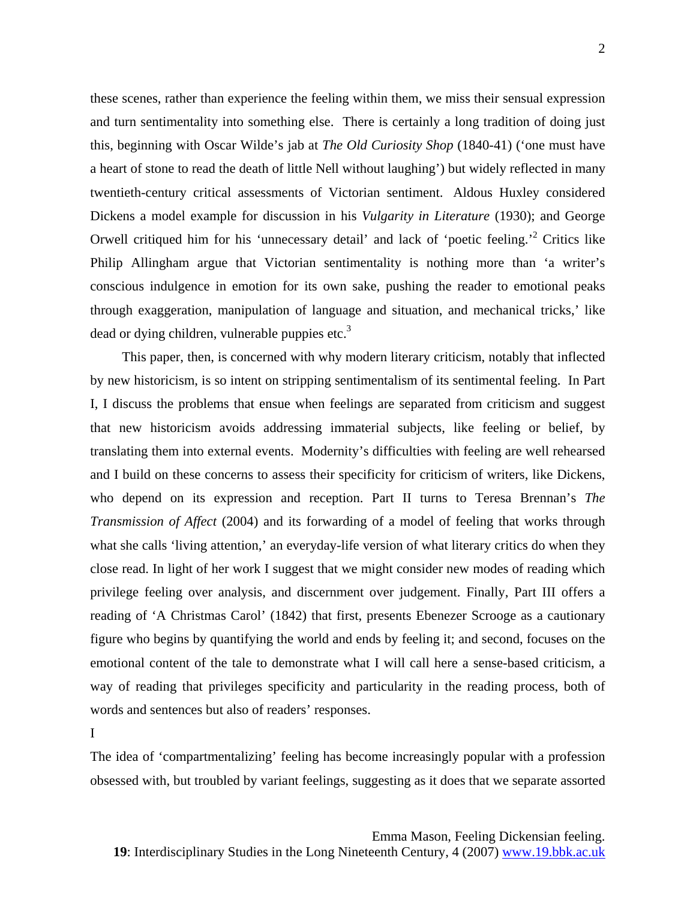these scenes, rather than experience the feeling within them, we miss their sensual expression and turn sentimentality into something else. There is certainly a long tradition of doing just this, beginning with Oscar Wilde's jab at *The Old Curiosity Shop* (1840-41) ('one must have a heart of stone to read the death of little Nell without laughing') but widely reflected in many twentieth-century critical assessments of Victorian sentiment. Aldous Huxley considered Dickens a model example for discussion in his *Vulgarity in Literature* (1930); and George Orwell critiqued him for his 'unnecessary detail' and lack of 'poetic feeling.<sup>[2](#page-18-1)</sup> Critics like Philip Allingham argue that Victorian sentimentality is nothing more than 'a writer's conscious indulgence in emotion for its own sake, pushing the reader to emotional peaks through exaggeration, manipulation of language and situation, and mechanical tricks,' like dead or dying children, vulnerable puppies etc.<sup>3</sup>

This paper, then, is concerned with why modern literary criticism, notably that inflected by new historicism, is so intent on stripping sentimentalism of its sentimental feeling. In Part I, I discuss the problems that ensue when feelings are separated from criticism and suggest that new historicism avoids addressing immaterial subjects, like feeling or belief, by translating them into external events. Modernity's difficulties with feeling are well rehearsed and I build on these concerns to assess their specificity for criticism of writers, like Dickens, who depend on its expression and reception. Part II turns to Teresa Brennan's *The Transmission of Affect* (2004) and its forwarding of a model of feeling that works through what she calls 'living attention,' an everyday-life version of what literary critics do when they close read. In light of her work I suggest that we might consider new modes of reading which privilege feeling over analysis, and discernment over judgement. Finally, Part III offers a reading of 'A Christmas Carol' (1842) that first, presents Ebenezer Scrooge as a cautionary figure who begins by quantifying the world and ends by feeling it; and second, focuses on the emotional content of the tale to demonstrate what I will call here a sense-based criticism, a way of reading that privileges specificity and particularity in the reading process, both of words and sentences but also of readers' responses.

I

The idea of 'compartmentalizing' feeling has become increasingly popular with a profession obsessed with, but troubled by variant feelings, suggesting as it does that we separate assorted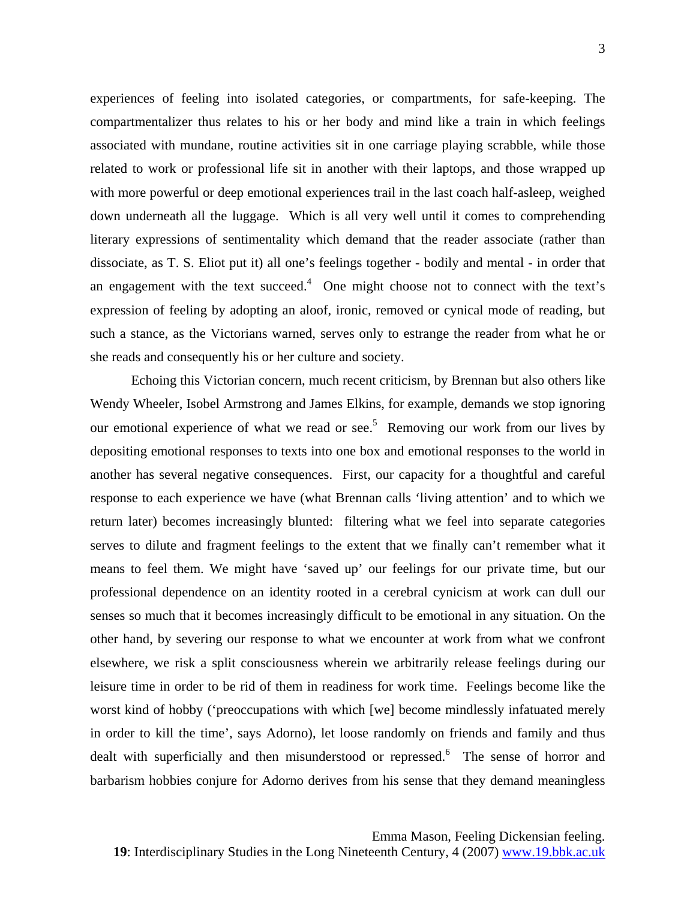experiences of feeling into isolated categories, or compartments, for safe-keeping. The compartmentalizer thus relates to his or her body and mind like a train in which feelings associated with mundane, routine activities sit in one carriage playing scrabble, while those related to work or professional life sit in another with their laptops, and those wrapped up with more powerful or deep emotional experiences trail in the last coach half-asleep, weighed down underneath all the luggage. Which is all very well until it comes to comprehending literary expressions of sentimentality which demand that the reader associate (rather than dissociate, as T. S. Eliot put it) all one's feelings together - bodily and mental - in order that an engagement with the text succeed.<sup>4</sup> One might choose not to connect with the text's expression of feeling by adopting an aloof, ironic, removed or cynical mode of reading, but such a stance, as the Victorians warned, serves only to estrange the reader from what he or she reads and consequently his or her culture and society.

Echoing this Victorian concern, much recent criticism, by Brennan but also others like Wendy Wheeler, Isobel Armstrong and James Elkins, for example, demands we stop ignoring our emotional experience of what we read or see.<sup>5</sup> Removing our work from our lives by depositing emotional responses to texts into one box and emotional responses to the world in another has several negative consequences. First, our capacity for a thoughtful and careful response to each experience we have (what Brennan calls 'living attention' and to which we return later) becomes increasingly blunted: filtering what we feel into separate categories serves to dilute and fragment feelings to the extent that we finally can't remember what it means to feel them. We might have 'saved up' our feelings for our private time, but our professional dependence on an identity rooted in a cerebral cynicism at work can dull our senses so much that it becomes increasingly difficult to be emotional in any situation. On the other hand, by severing our response to what we encounter at work from what we confront elsewhere, we risk a split consciousness wherein we arbitrarily release feelings during our leisure time in order to be rid of them in readiness for work time. Feelings become like the worst kind of hobby ('preoccupations with which [we] become mindlessly infatuated merely in order to kill the time', says Adorno), let loose randomly on friends and family and thus dealt with superficially and then misunderstood or repressed.<sup>[6](#page-18-4)</sup> The sense of horror and barbarism hobbies conjure for Adorno derives from his sense that they demand meaningless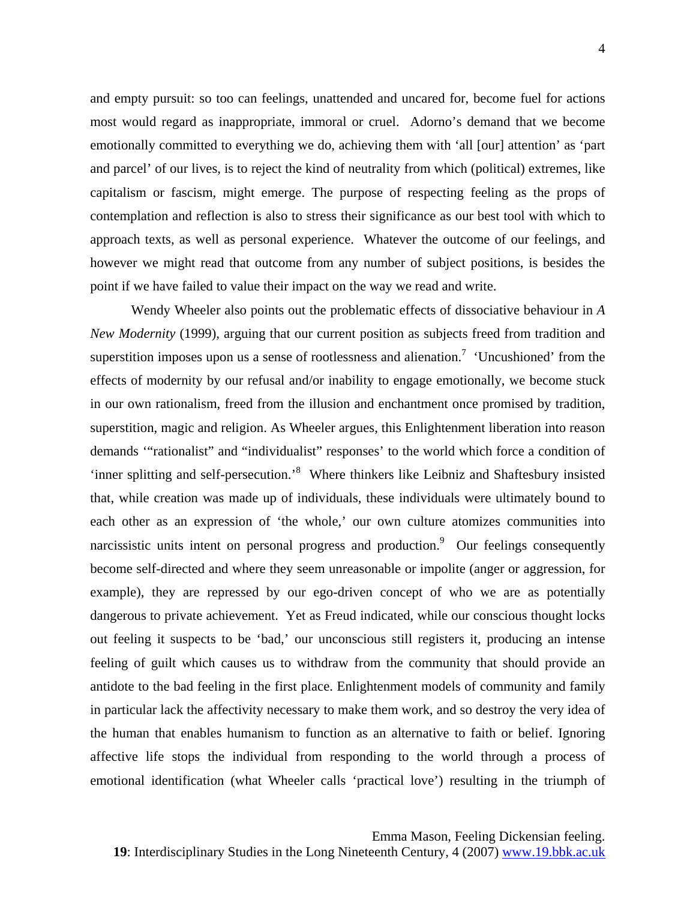and empty pursuit: so too can feelings, unattended and uncared for, become fuel for actions most would regard as inappropriate, immoral or cruel. Adorno's demand that we become emotionally committed to everything we do, achieving them with 'all [our] attention' as 'part and parcel' of our lives, is to reject the kind of neutrality from which (political) extremes, like capitalism or fascism, might emerge. The purpose of respecting feeling as the props of contemplation and reflection is also to stress their significance as our best tool with which to approach texts, as well as personal experience. Whatever the outcome of our feelings, and however we might read that outcome from any number of subject positions, is besides the point if we have failed to value their impact on the way we read and write.

Wendy Wheeler also points out the problematic effects of dissociative behaviour in *A New Modernity* (1999), arguing that our current position as subjects freed from tradition and superstition imposes upon us a sense of rootlessness and alienation.<sup>[7](#page-18-5)</sup> 'Uncushioned' from the effects of modernity by our refusal and/or inability to engage emotionally, we become stuck in our own rationalism, freed from the illusion and enchantment once promised by tradition, superstition, magic and religion. As Wheeler argues, this Enlightenment liberation into reason demands '"rationalist" and "individualist" responses' to the world which force a condition of 'inner splitting and self-persecution.'<sup>[8](#page-18-6)</sup> Where thinkers like Leibniz and Shaftesbury insisted that, while creation was made up of individuals, these individuals were ultimately bound to each other as an expression of 'the whole,' our own culture atomizes communities into narcissistic units intent on personal progress and production.<sup>[9](#page-18-7)</sup> Our feelings consequently become self-directed and where they seem unreasonable or impolite (anger or aggression, for example), they are repressed by our ego-driven concept of who we are as potentially dangerous to private achievement. Yet as Freud indicated, while our conscious thought locks out feeling it suspects to be 'bad,' our unconscious still registers it, producing an intense feeling of guilt which causes us to withdraw from the community that should provide an antidote to the bad feeling in the first place. Enlightenment models of community and family in particular lack the affectivity necessary to make them work, and so destroy the very idea of the human that enables humanism to function as an alternative to faith or belief. Ignoring affective life stops the individual from responding to the world through a process of emotional identification (what Wheeler calls 'practical love') resulting in the triumph of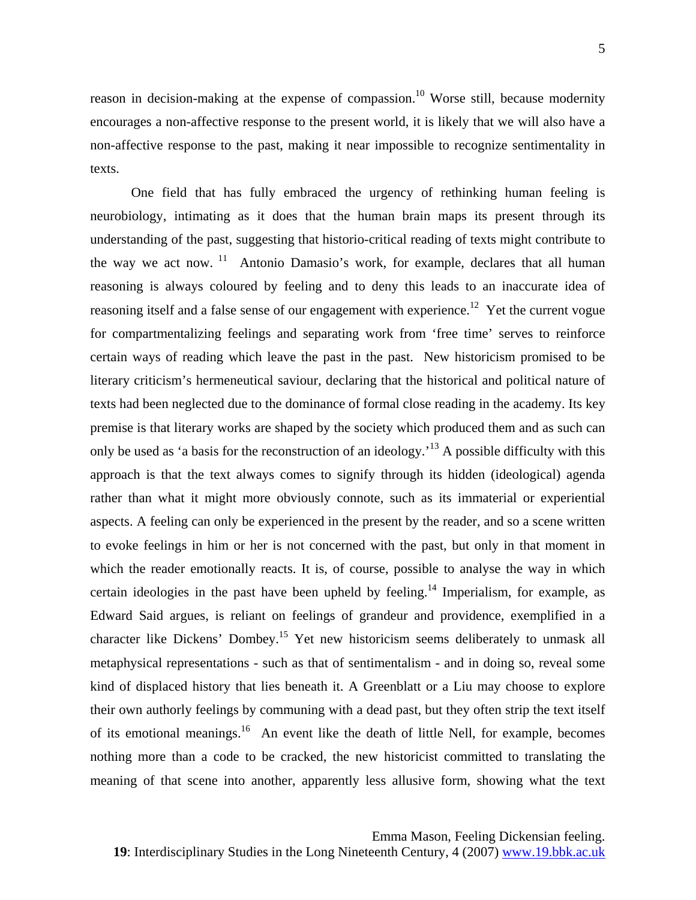reason in decision-making at the expense of compassion.<sup>10</sup> Worse still, because modernity encourages a non-affective response to the present world, it is likely that we will also have a non-affective response to the past, making it near impossible to recognize sentimentality in texts.

One field that has fully embraced the urgency of rethinking human feeling is neurobiology, intimating as it does that the human brain maps its present through its understanding of the past, suggesting that historio-critical reading of texts might contribute to the way we act now.  $11$  Antonio Damasio's work, for example, declares that all human reasoning is always coloured by feeling and to deny this leads to an inaccurate idea of reasoning itself and a false sense of our engagement with experience.<sup>12</sup> Yet the current vogue for compartmentalizing feelings and separating work from 'free time' serves to reinforce certain ways of reading which leave the past in the past. New historicism promised to be literary criticism's hermeneutical saviour, declaring that the historical and political nature of texts had been neglected due to the dominance of formal close reading in the academy. Its key premise is that literary works are shaped by the society which produced them and as such can only be used as 'a basis for the reconstruction of an ideology.<sup>13</sup> A possible difficulty with this approach is that the text always comes to signify through its hidden (ideological) agenda rather than what it might more obviously connote, such as its immaterial or experiential aspects. A feeling can only be experienced in the present by the reader, and so a scene written to evoke feelings in him or her is not concerned with the past, but only in that moment in which the reader emotionally reacts. It is, of course, possible to analyse the way in which certain ideologies in the past have been upheld by feeling.<sup>14</sup> Imperialism, for example, as Edward Said argues, is reliant on feelings of grandeur and providence, exemplified in a character like Dickens' Dombey.<sup>15</sup> Yet new historicism seems deliberately to unmask all metaphysical representations - such as that of sentimentalism - and in doing so, reveal some kind of displaced history that lies beneath it. A Greenblatt or a Liu may choose to explore their own authorly feelings by communing with a dead past, but they often strip the text itself of its emotional meanings.[16](#page-18-14) An event like the death of little Nell, for example, becomes nothing more than a code to be cracked, the new historicist committed to translating the meaning of that scene into another, apparently less allusive form, showing what the text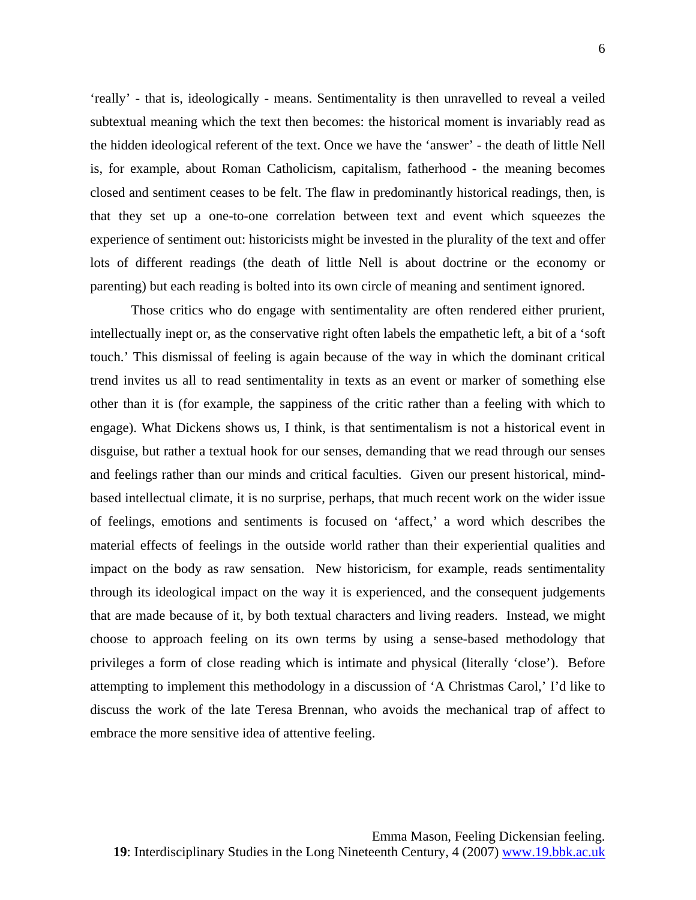'really' - that is, ideologically - means. Sentimentality is then unravelled to reveal a veiled subtextual meaning which the text then becomes: the historical moment is invariably read as the hidden ideological referent of the text. Once we have the 'answer' - the death of little Nell is, for example, about Roman Catholicism, capitalism, fatherhood - the meaning becomes closed and sentiment ceases to be felt. The flaw in predominantly historical readings, then, is that they set up a one-to-one correlation between text and event which squeezes the experience of sentiment out: historicists might be invested in the plurality of the text and offer lots of different readings (the death of little Nell is about doctrine or the economy or parenting) but each reading is bolted into its own circle of meaning and sentiment ignored.

Those critics who do engage with sentimentality are often rendered either prurient, intellectually inept or, as the conservative right often labels the empathetic left, a bit of a 'soft touch.' This dismissal of feeling is again because of the way in which the dominant critical trend invites us all to read sentimentality in texts as an event or marker of something else other than it is (for example, the sappiness of the critic rather than a feeling with which to engage). What Dickens shows us, I think, is that sentimentalism is not a historical event in disguise, but rather a textual hook for our senses, demanding that we read through our senses and feelings rather than our minds and critical faculties. Given our present historical, mindbased intellectual climate, it is no surprise, perhaps, that much recent work on the wider issue of feelings, emotions and sentiments is focused on 'affect,' a word which describes the material effects of feelings in the outside world rather than their experiential qualities and impact on the body as raw sensation. New historicism, for example, reads sentimentality through its ideological impact on the way it is experienced, and the consequent judgements that are made because of it, by both textual characters and living readers. Instead, we might choose to approach feeling on its own terms by using a sense-based methodology that privileges a form of close reading which is intimate and physical (literally 'close'). Before attempting to implement this methodology in a discussion of 'A Christmas Carol,' I'd like to discuss the work of the late Teresa Brennan, who avoids the mechanical trap of affect to embrace the more sensitive idea of attentive feeling.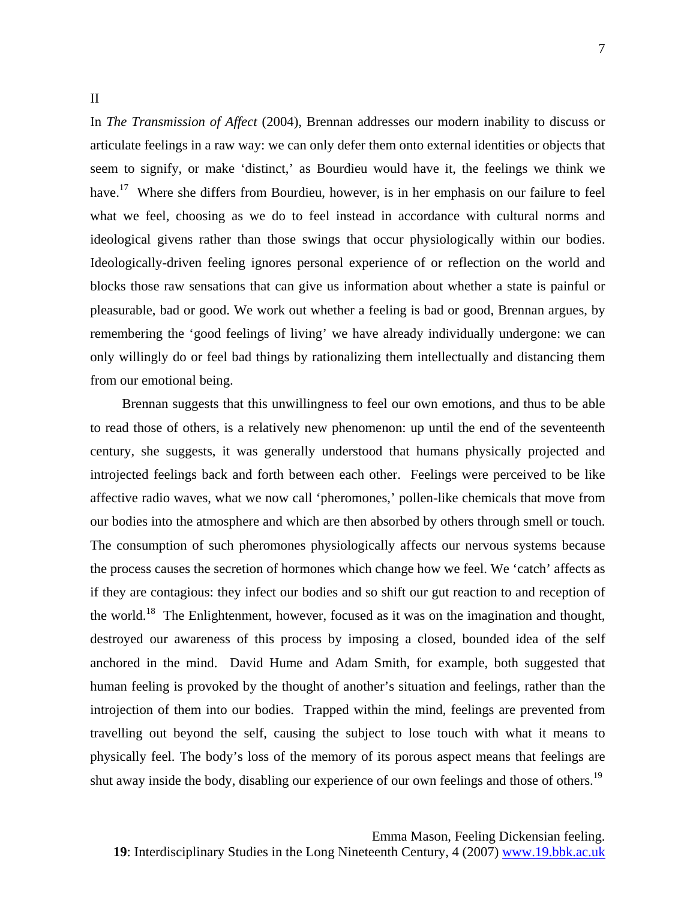## II

In *The Transmission of Affect* (2004), Brennan addresses our modern inability to discuss or articulate feelings in a raw way: we can only defer them onto external identities or objects that seem to signify, or make 'distinct,' as Bourdieu would have it, the feelings we think we have.<sup>17</sup> Where she differs from Bourdieu, however, is in her emphasis on our failure to feel what we feel, choosing as we do to feel instead in accordance with cultural norms and ideological givens rather than those swings that occur physiologically within our bodies. Ideologically-driven feeling ignores personal experience of or reflection on the world and blocks those raw sensations that can give us information about whether a state is painful or pleasurable, bad or good. We work out whether a feeling is bad or good, Brennan argues, by remembering the 'good feelings of living' we have already individually undergone: we can only willingly do or feel bad things by rationalizing them intellectually and distancing them from our emotional being.

Brennan suggests that this unwillingness to feel our own emotions, and thus to be able to read those of others, is a relatively new phenomenon: up until the end of the seventeenth century, she suggests, it was generally understood that humans physically projected and introjected feelings back and forth between each other. Feelings were perceived to be like affective radio waves, what we now call 'pheromones,' pollen-like chemicals that move from our bodies into the atmosphere and which are then absorbed by others through smell or touch. The consumption of such pheromones physiologically affects our nervous systems because the process causes the secretion of hormones which change how we feel. We 'catch' affects as if they are contagious: they infect our bodies and so shift our gut reaction to and reception of the world.<sup>18</sup> The Enlightenment, however, focused as it was on the imagination and thought, destroyed our awareness of this process by imposing a closed, bounded idea of the self anchored in the mind. David Hume and Adam Smith, for example, both suggested that human feeling is provoked by the thought of another's situation and feelings, rather than the introjection of them into our bodies. Trapped within the mind, feelings are prevented from travelling out beyond the self, causing the subject to lose touch with what it means to physically feel. The body's loss of the memory of its porous aspect means that feelings are shut away inside the body, disabling our experience of our own feelings and those of others.<sup>19</sup>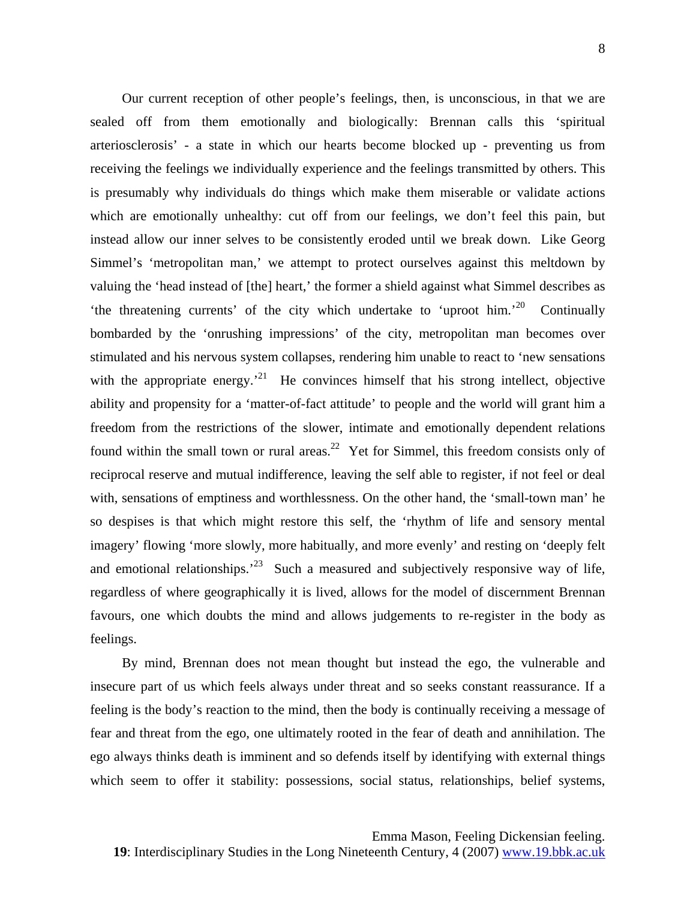Our current reception of other people's feelings, then, is unconscious, in that we are sealed off from them emotionally and biologically: Brennan calls this 'spiritual arteriosclerosis' - a state in which our hearts become blocked up - preventing us from receiving the feelings we individually experience and the feelings transmitted by others. This is presumably why individuals do things which make them miserable or validate actions which are emotionally unhealthy: cut off from our feelings, we don't feel this pain, but instead allow our inner selves to be consistently eroded until we break down. Like Georg Simmel's 'metropolitan man,' we attempt to protect ourselves against this meltdown by valuing the 'head instead of [the] heart,' the former a shield against what Simmel describes as 'the threatening currents' of the city which undertake to 'uproot him.'<sup>20</sup> Continually bombarded by the 'onrushing impressions' of the city, metropolitan man becomes over stimulated and his nervous system collapses, rendering him unable to react to 'new sensations with the appropriate energy.<sup> $21$ </sup> He convinces himself that his strong intellect, objective ability and propensity for a 'matter-of-fact attitude' to people and the world will grant him a freedom from the restrictions of the slower, intimate and emotionally dependent relations found within the small town or rural areas.<sup>22</sup> Yet for Simmel, this freedom consists only of reciprocal reserve and mutual indifference, leaving the self able to register, if not feel or deal with, sensations of emptiness and worthlessness. On the other hand, the 'small-town man' he so despises is that which might restore this self, the 'rhythm of life and sensory mental imagery' flowing 'more slowly, more habitually, and more evenly' and resting on 'deeply felt and emotional relationships.<sup>23</sup> Such a measured and subjectively responsive way of life, regardless of where geographically it is lived, allows for the model of discernment Brennan favours, one which doubts the mind and allows judgements to re-register in the body as feelings.

By mind, Brennan does not mean thought but instead the ego, the vulnerable and insecure part of us which feels always under threat and so seeks constant reassurance. If a feeling is the body's reaction to the mind, then the body is continually receiving a message of fear and threat from the ego, one ultimately rooted in the fear of death and annihilation. The ego always thinks death is imminent and so defends itself by identifying with external things which seem to offer it stability: possessions, social status, relationships, belief systems,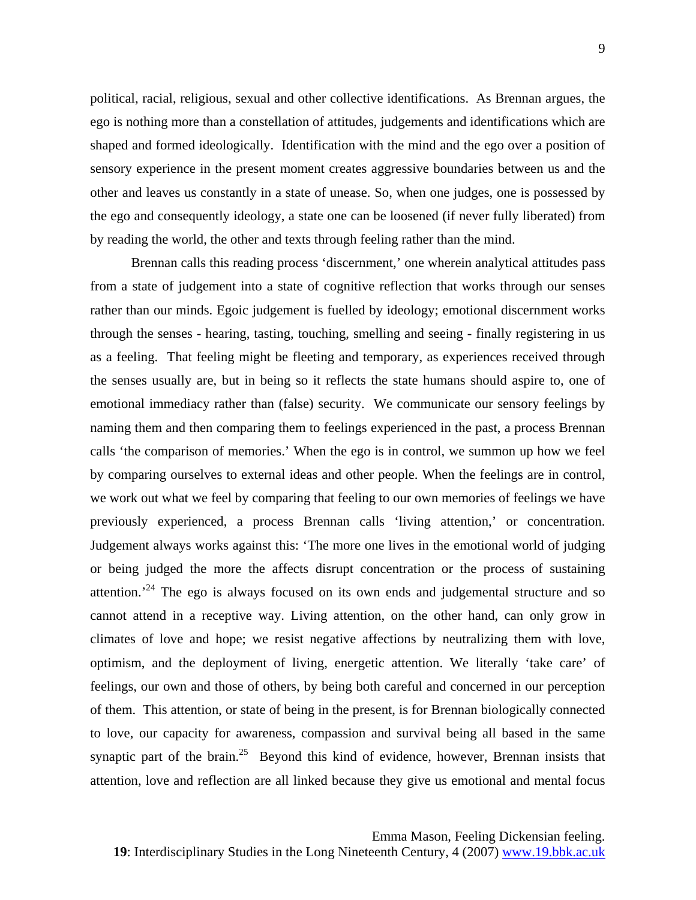political, racial, religious, sexual and other collective identifications. As Brennan argues, the ego is nothing more than a constellation of attitudes, judgements and identifications which are shaped and formed ideologically. Identification with the mind and the ego over a position of sensory experience in the present moment creates aggressive boundaries between us and the other and leaves us constantly in a state of unease. So, when one judges, one is possessed by the ego and consequently ideology, a state one can be loosened (if never fully liberated) from by reading the world, the other and texts through feeling rather than the mind.

 Brennan calls this reading process 'discernment,' one wherein analytical attitudes pass from a state of judgement into a state of cognitive reflection that works through our senses rather than our minds. Egoic judgement is fuelled by ideology; emotional discernment works through the senses - hearing, tasting, touching, smelling and seeing - finally registering in us as a feeling. That feeling might be fleeting and temporary, as experiences received through the senses usually are, but in being so it reflects the state humans should aspire to, one of emotional immediacy rather than (false) security. We communicate our sensory feelings by naming them and then comparing them to feelings experienced in the past, a process Brennan calls 'the comparison of memories.' When the ego is in control, we summon up how we feel by comparing ourselves to external ideas and other people. When the feelings are in control, we work out what we feel by comparing that feeling to our own memories of feelings we have previously experienced, a process Brennan calls 'living attention,' or concentration. Judgement always works against this: 'The more one lives in the emotional world of judging or being judged the more the affects disrupt concentration or the process of sustaining attention.<sup> $24$ </sup> The ego is always focused on its own ends and judgemental structure and so cannot attend in a receptive way. Living attention, on the other hand, can only grow in climates of love and hope; we resist negative affections by neutralizing them with love, optimism, and the deployment of living, energetic attention. We literally 'take care' of feelings, our own and those of others, by being both careful and concerned in our perception of them. This attention, or state of being in the present, is for Brennan biologically connected to love, our capacity for awareness, compassion and survival being all based in the same synaptic part of the brain.<sup>25</sup> Beyond this kind of evidence, however, Brennan insists that attention, love and reflection are all linked because they give us emotional and mental focus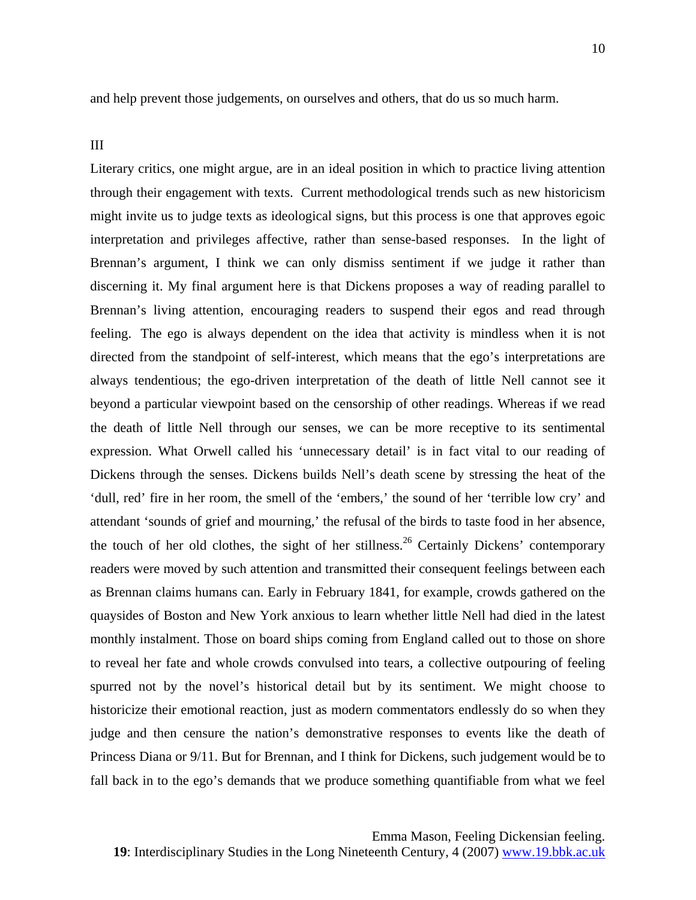and help prevent those judgements, on ourselves and others, that do us so much harm.

## III

Literary critics, one might argue, are in an ideal position in which to practice living attention through their engagement with texts. Current methodological trends such as new historicism might invite us to judge texts as ideological signs, but this process is one that approves egoic interpretation and privileges affective, rather than sense-based responses. In the light of Brennan's argument, I think we can only dismiss sentiment if we judge it rather than discerning it. My final argument here is that Dickens proposes a way of reading parallel to Brennan's living attention, encouraging readers to suspend their egos and read through feeling. The ego is always dependent on the idea that activity is mindless when it is not directed from the standpoint of self-interest, which means that the ego's interpretations are always tendentious; the ego-driven interpretation of the death of little Nell cannot see it beyond a particular viewpoint based on the censorship of other readings. Whereas if we read the death of little Nell through our senses, we can be more receptive to its sentimental expression. What Orwell called his 'unnecessary detail' is in fact vital to our reading of Dickens through the senses. Dickens builds Nell's death scene by stressing the heat of the 'dull, red' fire in her room, the smell of the 'embers,' the sound of her 'terrible low cry' and attendant 'sounds of grief and mourning,' the refusal of the birds to taste food in her absence, the touch of her old clothes, the sight of her stillness.<sup>26</sup> Certainly Dickens' contemporary readers were moved by such attention and transmitted their consequent feelings between each as Brennan claims humans can. Early in February 1841, for example, crowds gathered on the quaysides of Boston and New York anxious to learn whether little Nell had died in the latest monthly instalment. Those on board ships coming from England called out to those on shore to reveal her fate and whole crowds convulsed into tears, a collective outpouring of feeling spurred not by the novel's historical detail but by its sentiment. We might choose to historicize their emotional reaction, just as modern commentators endlessly do so when they judge and then censure the nation's demonstrative responses to events like the death of Princess Diana or 9/11. But for Brennan, and I think for Dickens, such judgement would be to fall back in to the ego's demands that we produce something quantifiable from what we feel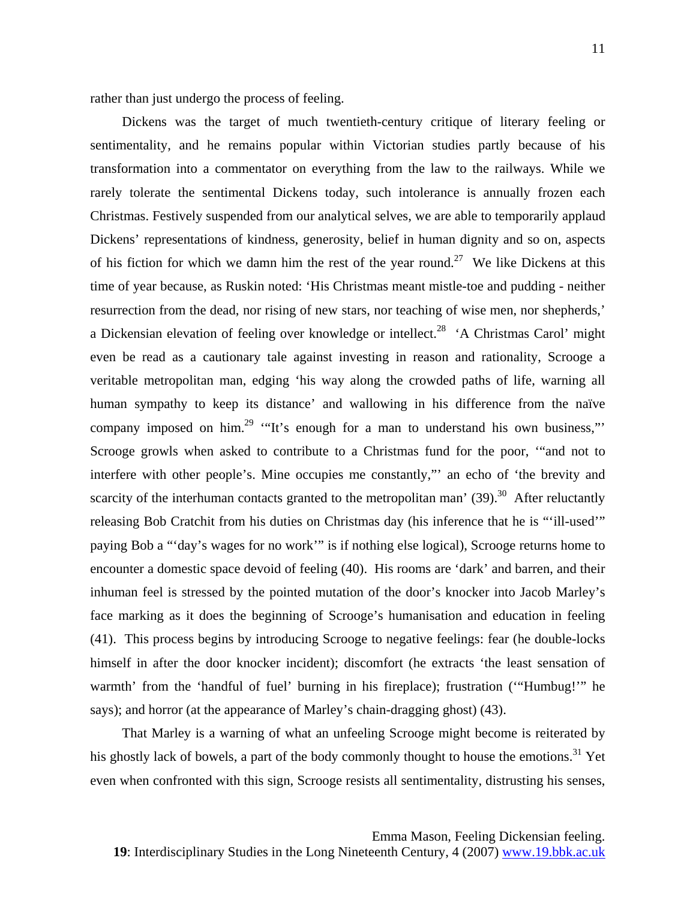rather than just undergo the process of feeling.

Dickens was the target of much twentieth-century critique of literary feeling or sentimentality, and he remains popular within Victorian studies partly because of his transformation into a commentator on everything from the law to the railways. While we rarely tolerate the sentimental Dickens today, such intolerance is annually frozen each Christmas. Festively suspended from our analytical selves, we are able to temporarily applaud Dickens' representations of kindness, generosity, belief in human dignity and so on, aspects of his fiction for which we damn him the rest of the year round.<sup>27</sup> We like Dickens at this time of year because, as Ruskin noted: 'His Christmas meant mistle-toe and pudding - neither resurrection from the dead, nor rising of new stars, nor teaching of wise men, nor shepherds,' a Dickensian elevation of feeling over knowledge or intellect.<sup>28</sup> 'A Christmas Carol' might even be read as a cautionary tale against investing in reason and rationality, Scrooge a veritable metropolitan man, edging 'his way along the crowded paths of life, warning all human sympathy to keep its distance' and wallowing in his difference from the naïve company imposed on him.<sup>29</sup> "It's enough for a man to understand his own business," Scrooge growls when asked to contribute to a Christmas fund for the poor, '"and not to interfere with other people's. Mine occupies me constantly,"' an echo of 'the brevity and scarcity of the interhuman contacts granted to the metropolitan man'  $(39)$ <sup>30</sup> After reluctantly releasing Bob Cratchit from his duties on Christmas day (his inference that he is "'ill-used'" paying Bob a "'day's wages for no work'" is if nothing else logical), Scrooge returns home to encounter a domestic space devoid of feeling (40). His rooms are 'dark' and barren, and their inhuman feel is stressed by the pointed mutation of the door's knocker into Jacob Marley's face marking as it does the beginning of Scrooge's humanisation and education in feeling (41). This process begins by introducing Scrooge to negative feelings: fear (he double-locks himself in after the door knocker incident); discomfort (he extracts 'the least sensation of warmth' from the 'handful of fuel' burning in his fireplace); frustration ('"Humbug!'" he says); and horror (at the appearance of Marley's chain-dragging ghost) (43).

That Marley is a warning of what an unfeeling Scrooge might become is reiterated by his ghostly lack of bowels, a part of the body commonly thought to house the emotions.<sup>31</sup> Yet even when confronted with this sign, Scrooge resists all sentimentality, distrusting his senses,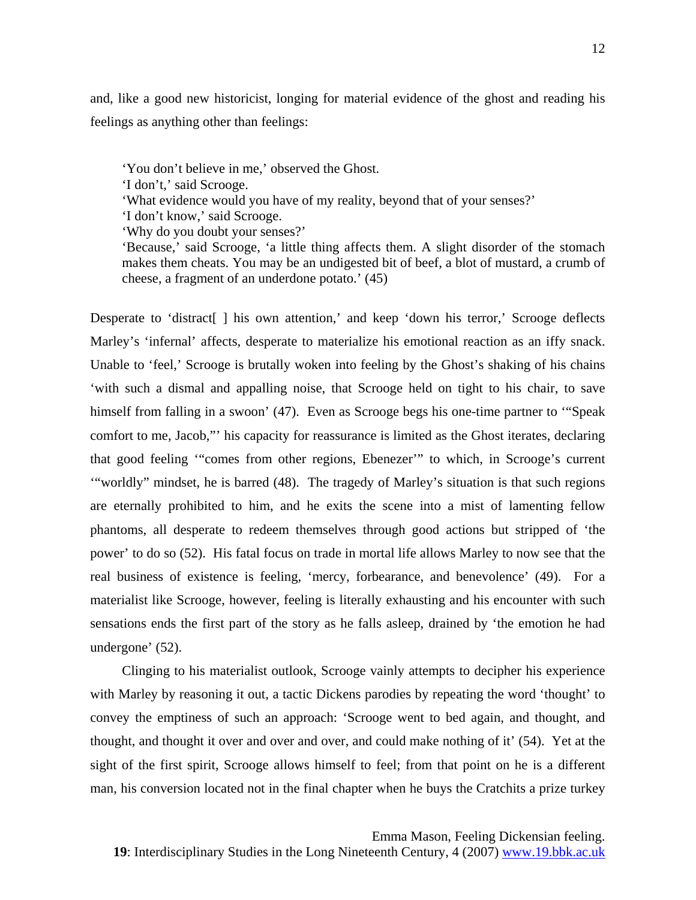and, like a good new historicist, longing for material evidence of the ghost and reading his feelings as anything other than feelings:

'You don't believe in me,' observed the Ghost.

'I don't,' said Scrooge.

'What evidence would you have of my reality, beyond that of your senses?'

'I don't know,' said Scrooge.

'Why do you doubt your senses?'

'Because,' said Scrooge, 'a little thing affects them. A slight disorder of the stomach makes them cheats. You may be an undigested bit of beef, a blot of mustard, a crumb of cheese, a fragment of an underdone potato.' (45)

Desperate to 'distract[ ] his own attention,' and keep 'down his terror,' Scrooge deflects Marley's 'infernal' affects, desperate to materialize his emotional reaction as an iffy snack. Unable to 'feel,' Scrooge is brutally woken into feeling by the Ghost's shaking of his chains 'with such a dismal and appalling noise, that Scrooge held on tight to his chair, to save himself from falling in a swoon' (47). Even as Scrooge begs his one-time partner to "Speak comfort to me, Jacob,"' his capacity for reassurance is limited as the Ghost iterates, declaring that good feeling '"comes from other regions, Ebenezer'" to which, in Scrooge's current '"worldly" mindset, he is barred (48). The tragedy of Marley's situation is that such regions are eternally prohibited to him, and he exits the scene into a mist of lamenting fellow phantoms, all desperate to redeem themselves through good actions but stripped of 'the power' to do so (52). His fatal focus on trade in mortal life allows Marley to now see that the real business of existence is feeling, 'mercy, forbearance, and benevolence' (49). For a materialist like Scrooge, however, feeling is literally exhausting and his encounter with such sensations ends the first part of the story as he falls asleep, drained by 'the emotion he had undergone' (52).

Clinging to his materialist outlook, Scrooge vainly attempts to decipher his experience with Marley by reasoning it out, a tactic Dickens parodies by repeating the word 'thought' to convey the emptiness of such an approach: 'Scrooge went to bed again, and thought, and thought, and thought it over and over and over, and could make nothing of it' (54). Yet at the sight of the first spirit, Scrooge allows himself to feel; from that point on he is a different man, his conversion located not in the final chapter when he buys the Cratchits a prize turkey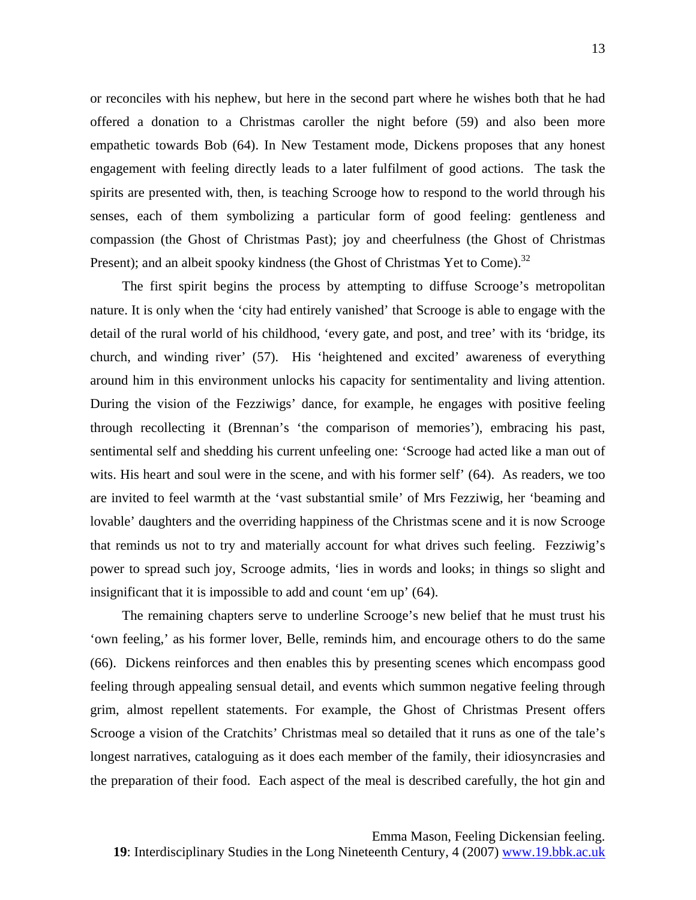or reconciles with his nephew, but here in the second part where he wishes both that he had offered a donation to a Christmas caroller the night before (59) and also been more empathetic towards Bob (64). In New Testament mode, Dickens proposes that any honest engagement with feeling directly leads to a later fulfilment of good actions. The task the spirits are presented with, then, is teaching Scrooge how to respond to the world through his senses, each of them symbolizing a particular form of good feeling: gentleness and compassion (the Ghost of Christmas Past); joy and cheerfulness (the Ghost of Christmas Present); and an albeit spooky kindness (the Ghost of Christmas Yet to Come).<sup>[32](#page-18-9)</sup>

The first spirit begins the process by attempting to diffuse Scrooge's metropolitan nature. It is only when the 'city had entirely vanished' that Scrooge is able to engage with the detail of the rural world of his childhood, 'every gate, and post, and tree' with its 'bridge, its church, and winding river' (57). His 'heightened and excited' awareness of everything around him in this environment unlocks his capacity for sentimentality and living attention. During the vision of the Fezziwigs' dance, for example, he engages with positive feeling through recollecting it (Brennan's 'the comparison of memories'), embracing his past, sentimental self and shedding his current unfeeling one: 'Scrooge had acted like a man out of wits. His heart and soul were in the scene, and with his former self' (64). As readers, we too are invited to feel warmth at the 'vast substantial smile' of Mrs Fezziwig, her 'beaming and lovable' daughters and the overriding happiness of the Christmas scene and it is now Scrooge that reminds us not to try and materially account for what drives such feeling. Fezziwig's power to spread such joy, Scrooge admits, 'lies in words and looks; in things so slight and insignificant that it is impossible to add and count 'em up' (64).

The remaining chapters serve to underline Scrooge's new belief that he must trust his 'own feeling,' as his former lover, Belle, reminds him, and encourage others to do the same (66). Dickens reinforces and then enables this by presenting scenes which encompass good feeling through appealing sensual detail, and events which summon negative feeling through grim, almost repellent statements. For example, the Ghost of Christmas Present offers Scrooge a vision of the Cratchits' Christmas meal so detailed that it runs as one of the tale's longest narratives, cataloguing as it does each member of the family, their idiosyncrasies and the preparation of their food. Each aspect of the meal is described carefully, the hot gin and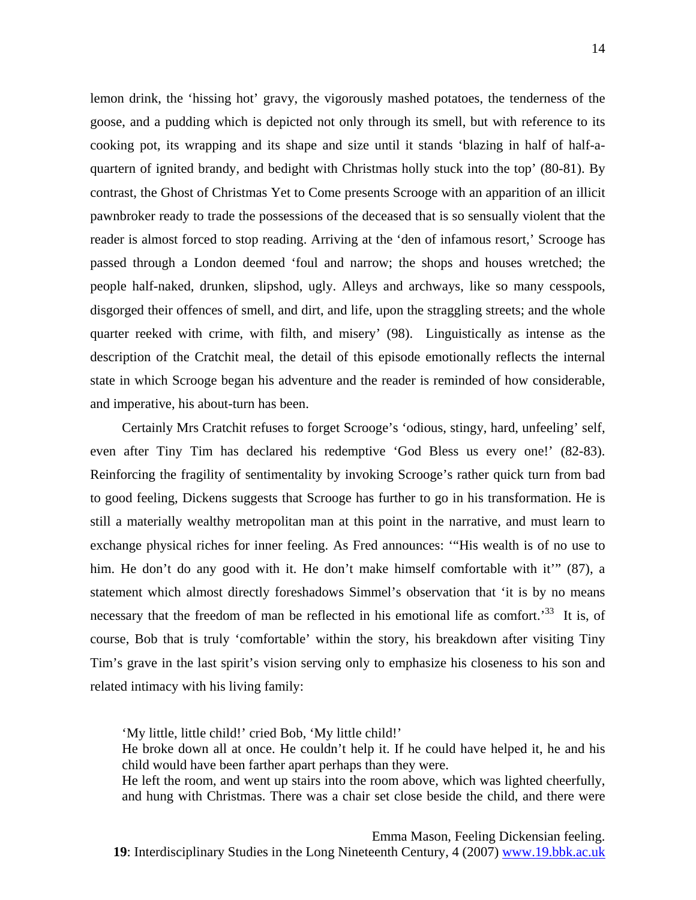lemon drink, the 'hissing hot' gravy, the vigorously mashed potatoes, the tenderness of the goose, and a pudding which is depicted not only through its smell, but with reference to its cooking pot, its wrapping and its shape and size until it stands 'blazing in half of half-aquartern of ignited brandy, and bedight with Christmas holly stuck into the top' (80-81). By contrast, the Ghost of Christmas Yet to Come presents Scrooge with an apparition of an illicit pawnbroker ready to trade the possessions of the deceased that is so sensually violent that the reader is almost forced to stop reading. Arriving at the 'den of infamous resort,' Scrooge has passed through a London deemed 'foul and narrow; the shops and houses wretched; the people half-naked, drunken, slipshod, ugly. Alleys and archways, like so many cesspools, disgorged their offences of smell, and dirt, and life, upon the straggling streets; and the whole quarter reeked with crime, with filth, and misery' (98). Linguistically as intense as the description of the Cratchit meal, the detail of this episode emotionally reflects the internal state in which Scrooge began his adventure and the reader is reminded of how considerable, and imperative, his about-turn has been.

Certainly Mrs Cratchit refuses to forget Scrooge's 'odious, stingy, hard, unfeeling' self, even after Tiny Tim has declared his redemptive 'God Bless us every one!' (82-83). Reinforcing the fragility of sentimentality by invoking Scrooge's rather quick turn from bad to good feeling, Dickens suggests that Scrooge has further to go in his transformation. He is still a materially wealthy metropolitan man at this point in the narrative, and must learn to exchange physical riches for inner feeling. As Fred announces: '"His wealth is of no use to him. He don't do any good with it. He don't make himself comfortable with it'" (87), a statement which almost directly foreshadows Simmel's observation that 'it is by no means necessary that the freedom of man be reflected in his emotional life as comfort.<sup>33</sup> It is, of course, Bob that is truly 'comfortable' within the story, his breakdown after visiting Tiny Tim's grave in the last spirit's vision serving only to emphasize his closeness to his son and related intimacy with his living family:

'My little, little child!' cried Bob, 'My little child!'

He broke down all at once. He couldn't help it. If he could have helped it, he and his child would have been farther apart perhaps than they were.

He left the room, and went up stairs into the room above, which was lighted cheerfully, and hung with Christmas. There was a chair set close beside the child, and there were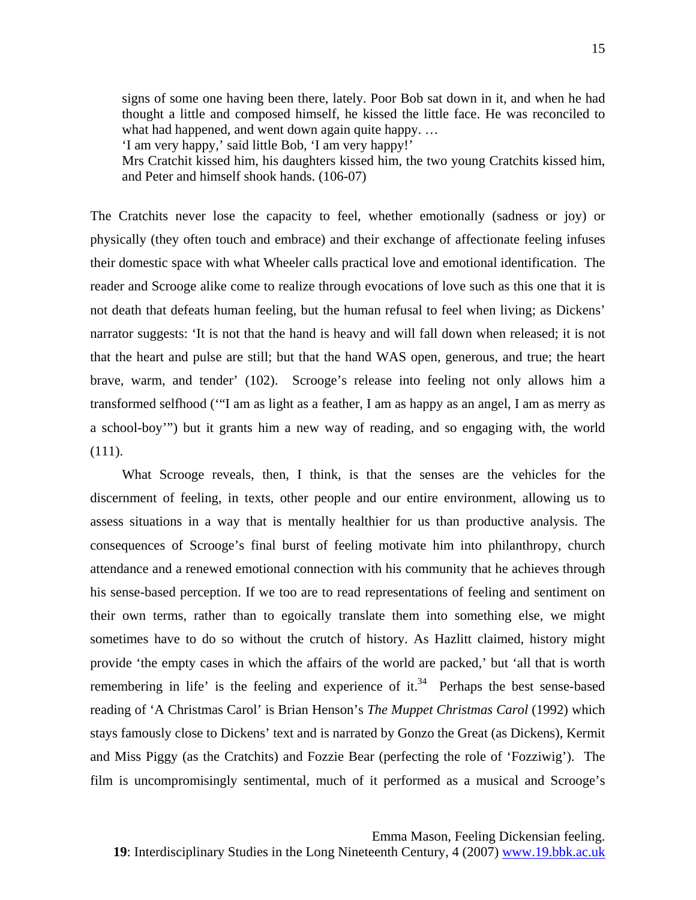signs of some one having been there, lately. Poor Bob sat down in it, and when he had thought a little and composed himself, he kissed the little face. He was reconciled to what had happened, and went down again quite happy. ...

'I am very happy,' said little Bob, 'I am very happy!'

Mrs Cratchit kissed him, his daughters kissed him, the two young Cratchits kissed him, and Peter and himself shook hands. (106-07)

The Cratchits never lose the capacity to feel, whether emotionally (sadness or joy) or physically (they often touch and embrace) and their exchange of affectionate feeling infuses their domestic space with what Wheeler calls practical love and emotional identification. The reader and Scrooge alike come to realize through evocations of love such as this one that it is not death that defeats human feeling, but the human refusal to feel when living; as Dickens' narrator suggests: 'It is not that the hand is heavy and will fall down when released; it is not that the heart and pulse are still; but that the hand WAS open, generous, and true; the heart brave, warm, and tender' (102). Scrooge's release into feeling not only allows him a transformed selfhood ('"I am as light as a feather, I am as happy as an angel, I am as merry as a school-boy'") but it grants him a new way of reading, and so engaging with, the world (111).

What Scrooge reveals, then, I think, is that the senses are the vehicles for the discernment of feeling, in texts, other people and our entire environment, allowing us to assess situations in a way that is mentally healthier for us than productive analysis. The consequences of Scrooge's final burst of feeling motivate him into philanthropy, church attendance and a renewed emotional connection with his community that he achieves through his sense-based perception. If we too are to read representations of feeling and sentiment on their own terms, rather than to egoically translate them into something else, we might sometimes have to do so without the crutch of history. As Hazlitt claimed, history might provide 'the empty cases in which the affairs of the world are packed,' but 'all that is worth remembering in life' is the feeling and experience of it.<sup>34</sup> Perhaps the best sense-based reading of 'A Christmas Carol' is Brian Henson's *The Muppet Christmas Carol* (1992) which stays famously close to Dickens' text and is narrated by Gonzo the Great (as Dickens), Kermit and Miss Piggy (as the Cratchits) and Fozzie Bear (perfecting the role of 'Fozziwig'). The film is uncompromisingly sentimental, much of it performed as a musical and Scrooge's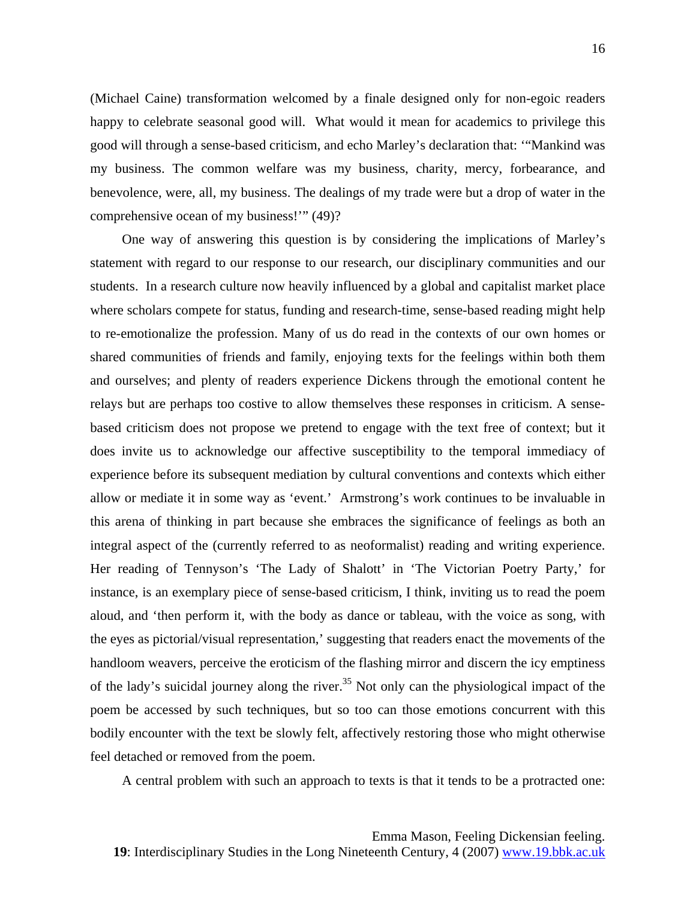(Michael Caine) transformation welcomed by a finale designed only for non-egoic readers happy to celebrate seasonal good will. What would it mean for academics to privilege this good will through a sense-based criticism, and echo Marley's declaration that: '"Mankind was my business. The common welfare was my business, charity, mercy, forbearance, and benevolence, were, all, my business. The dealings of my trade were but a drop of water in the comprehensive ocean of my business!'" (49)?

One way of answering this question is by considering the implications of Marley's statement with regard to our response to our research, our disciplinary communities and our students. In a research culture now heavily influenced by a global and capitalist market place where scholars compete for status, funding and research-time, sense-based reading might help to re-emotionalize the profession. Many of us do read in the contexts of our own homes or shared communities of friends and family, enjoying texts for the feelings within both them and ourselves; and plenty of readers experience Dickens through the emotional content he relays but are perhaps too costive to allow themselves these responses in criticism. A sensebased criticism does not propose we pretend to engage with the text free of context; but it does invite us to acknowledge our affective susceptibility to the temporal immediacy of experience before its subsequent mediation by cultural conventions and contexts which either allow or mediate it in some way as 'event.' Armstrong's work continues to be invaluable in this arena of thinking in part because she embraces the significance of feelings as both an integral aspect of the (currently referred to as neoformalist) reading and writing experience. Her reading of Tennyson's 'The Lady of Shalott' in 'The Victorian Poetry Party,' for instance, is an exemplary piece of sense-based criticism, I think, inviting us to read the poem aloud, and 'then perform it, with the body as dance or tableau, with the voice as song, with the eyes as pictorial/visual representation,' suggesting that readers enact the movements of the handloom weavers, perceive the eroticism of the flashing mirror and discern the icy emptiness of the lady's suicidal journey along the river.<sup>35</sup> Not only can the physiological impact of the poem be accessed by such techniques, but so too can those emotions concurrent with this bodily encounter with the text be slowly felt, affectively restoring those who might otherwise feel detached or removed from the poem.

A central problem with such an approach to texts is that it tends to be a protracted one: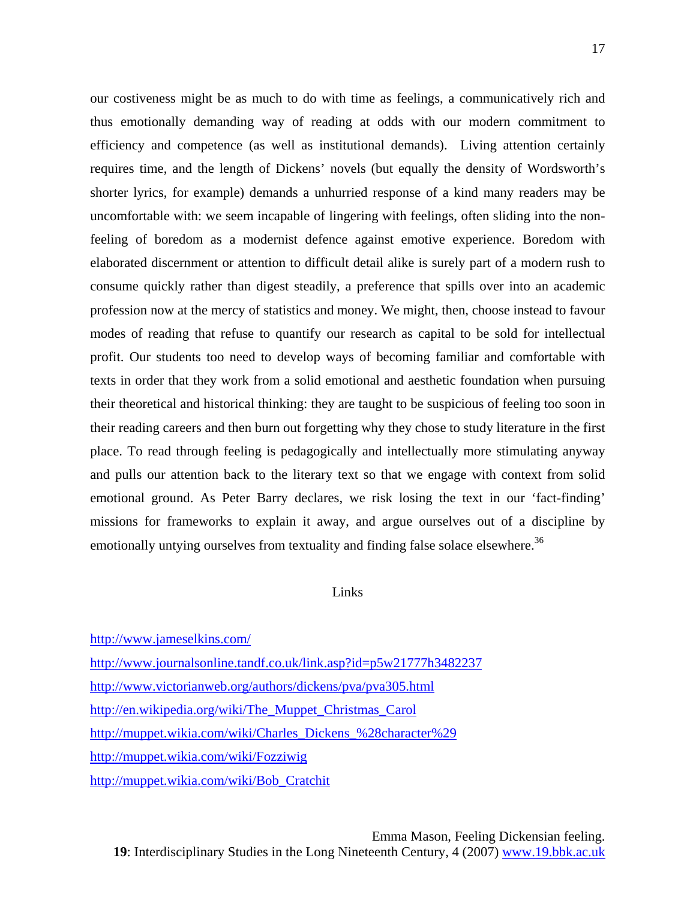our costiveness might be as much to do with time as feelings, a communicatively rich and thus emotionally demanding way of reading at odds with our modern commitment to efficiency and competence (as well as institutional demands). Living attention certainly requires time, and the length of Dickens' novels (but equally the density of Wordsworth's shorter lyrics, for example) demands a unhurried response of a kind many readers may be uncomfortable with: we seem incapable of lingering with feelings, often sliding into the nonfeeling of boredom as a modernist defence against emotive experience. Boredom with elaborated discernment or attention to difficult detail alike is surely part of a modern rush to consume quickly rather than digest steadily, a preference that spills over into an academic profession now at the mercy of statistics and money. We might, then, choose instead to favour modes of reading that refuse to quantify our research as capital to be sold for intellectual profit. Our students too need to develop ways of becoming familiar and comfortable with texts in order that they work from a solid emotional and aesthetic foundation when pursuing their theoretical and historical thinking: they are taught to be suspicious of feeling too soon in their reading careers and then burn out forgetting why they chose to study literature in the first place. To read through feeling is pedagogically and intellectually more stimulating anyway and pulls our attention back to the literary text so that we engage with context from solid emotional ground. As Peter Barry declares, we risk losing the text in our 'fact-finding' missions for frameworks to explain it away, and argue ourselves out of a discipline by emotionally untying ourselves from textuality and finding false solace elsewhere.<sup>[36](#page-18-7)</sup>

## Links

<http://www.jameselkins.com/>

<http://www.journalsonline.tandf.co.uk/link.asp?id=p5w21777h3482237> <http://www.victorianweb.org/authors/dickens/pva/pva305.html> [http://en.wikipedia.org/wiki/The\\_Muppet\\_Christmas\\_Carol](http://en.wikipedia.org/wiki/The_Muppet_Christmas_Carol) [http://muppet.wikia.com/wiki/Charles\\_Dickens\\_%28character%29](http://muppet.wikia.com/wiki/Charles_Dickens_%28character%29) <http://muppet.wikia.com/wiki/Fozziwig> [http://muppet.wikia.com/wiki/Bob\\_Cratchit](http://muppet.wikia.com/wiki/Bob_Cratchit)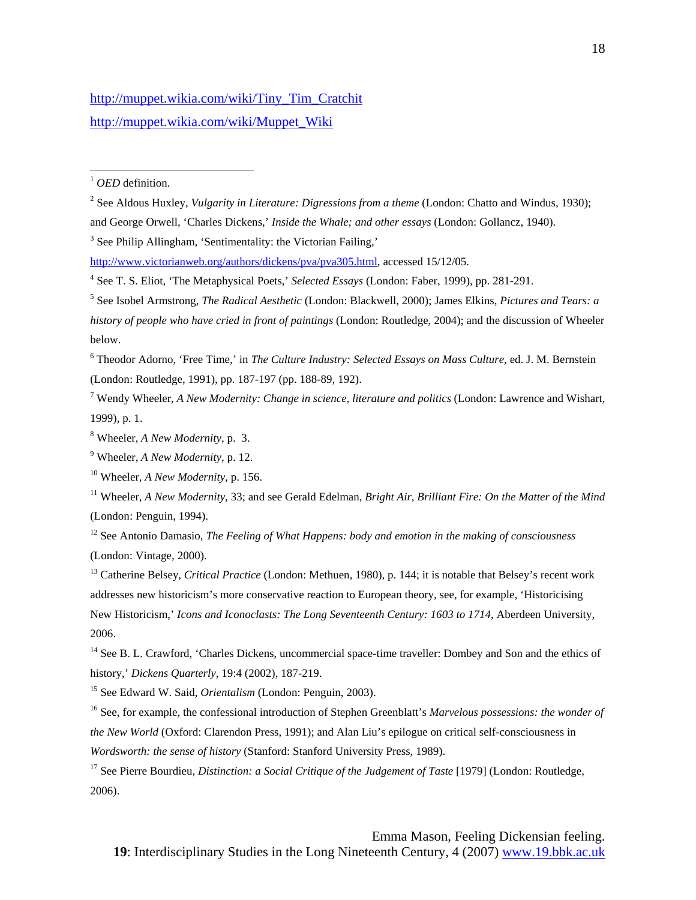[http://muppet.wikia.com/wiki/Tiny\\_Tim\\_Cratchit](http://muppet.wikia.com/wiki/Tiny_Tim_Cratchit) [http://muppet.wikia.com/wiki/Muppet\\_Wiki](http://muppet.wikia.com/wiki/Muppet_Wiki)

<sup>1</sup> *OED* definition.

 $\overline{a}$ 

2 See Aldous Huxley, *Vulgarity in Literature: Digressions from a theme* (London: Chatto and Windus, 1930); and George Orwell, 'Charles Dickens,' *Inside the Whale; and other essays* (London: Gollancz, 1940).

<sup>3</sup> See Philip Allingham, 'Sentimentality: the Victorian Failing,'

6 Theodor Adorno, 'Free Time,' in *The Culture Industry: Selected Essays on Mass Culture*, ed. J. M. Bernstein (London: Routledge, 1991), pp. 187-197 (pp. 188-89, 192).

7 Wendy Wheeler, *A New Modernity: Change in science, literature and politics* (London: Lawrence and Wishart, 1999), p. 1.

<http://www.victorianweb.org/authors/dickens/pva/pva305.html>, accessed 15/12/05.

<sup>4</sup> See T. S. Eliot, 'The Metaphysical Poets,' *Selected Essays* (London: Faber, 1999), pp. 281-291.

<sup>5</sup> See Isobel Armstrong, *The Radical Aesthetic* (London: Blackwell, 2000); James Elkins, *Pictures and Tears: a history of people who have cried in front of paintings* (London: Routledge, 2004); and the discussion of Wheeler below.

<sup>8</sup> Wheeler, *A New Modernity*, p. 3.

<sup>9</sup> Wheeler, *A New Modernity*, p. 12.

<sup>10</sup> Wheeler, *A New Modernity*, p. 156.

<sup>11</sup> Wheeler, *A New Modernity*, 33; and see Gerald Edelman, *Bright Air, Brilliant Fire: On the Matter of the Mind* (London: Penguin, 1994).

<sup>12</sup> See Antonio Damasio, *The Feeling of What Happens: body and emotion in the making of consciousness* (London: Vintage, 2000).

<sup>&</sup>lt;sup>13</sup> Catherine Belsey, *Critical Practice* (London: Methuen, 1980), p. 144; it is notable that Belsey's recent work addresses new historicism's more conservative reaction to European theory, see, for example, 'Historicising New Historicism,' *Icons and Iconoclasts: The Long Seventeenth Century: 1603 to 1714*, Aberdeen University, 2006.

<sup>&</sup>lt;sup>14</sup> See B. L. Crawford, 'Charles Dickens, uncommercial space-time traveller: Dombey and Son and the ethics of history,' *Dickens Quarterly*, 19:4 (2002), 187-219.

<sup>15</sup> See Edward W. Said, *Orientalism* (London: Penguin, 2003).

<sup>16</sup> See, for example, the confessional introduction of Stephen Greenblatt's *Marvelous possessions: the wonder of the New World* (Oxford: Clarendon Press, 1991); and Alan Liu's epilogue on critical self-consciousness in *Wordsworth: the sense of history* (Stanford: Stanford University Press, 1989).

<sup>&</sup>lt;sup>17</sup> See Pierre Bourdieu, *Distinction: a Social Critique of the Judgement of Taste* [1979] (London: Routledge, 2006).